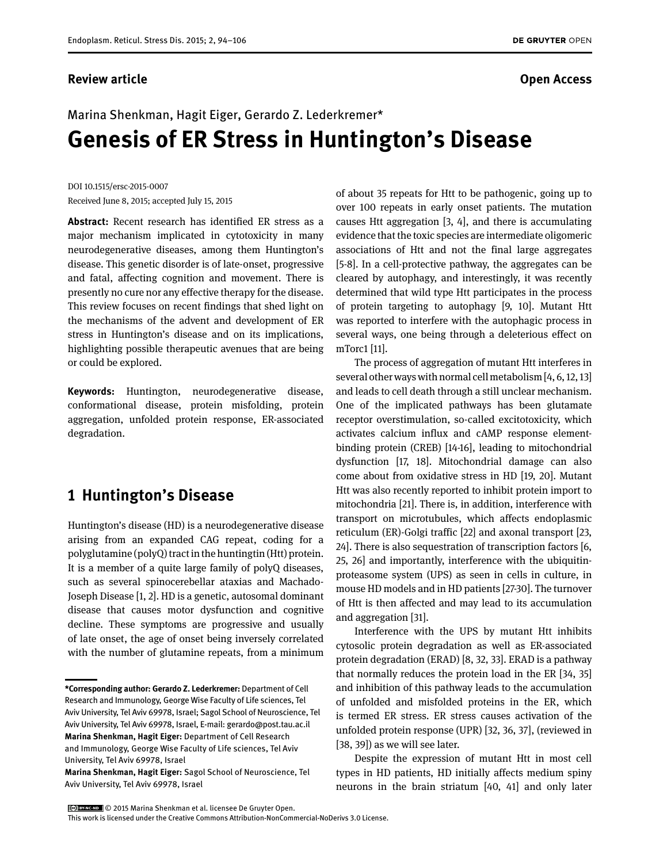#### **Review article Contracts Contracts and Contracts Contracts Contracts Contracts Contracts Contracts Open Access**

# Marina Shenkman, Hagit Eiger, Gerardo Z. Lederkremer\* **Genesis of ER Stress in Huntington's Disease**

DOI 10.1515/ersc-2015-0007 Received June 8, 2015; accepted July 15, 2015

**Abstract:** Recent research has identified ER stress as a major mechanism implicated in cytotoxicity in many neurodegenerative diseases, among them Huntington's disease. This genetic disorder is of late-onset, progressive and fatal, affecting cognition and movement. There is presently no cure nor any effective therapy for the disease. This review focuses on recent findings that shed light on the mechanisms of the advent and development of ER stress in Huntington's disease and on its implications, highlighting possible therapeutic avenues that are being or could be explored.

**Keywords:** Huntington, neurodegenerative disease, conformational disease, protein misfolding, protein aggregation, unfolded protein response, ER-associated degradation.

## **1 Huntington's Disease**

Huntington's disease (HD) is a neurodegenerative disease arising from an expanded CAG repeat, coding for a polyglutamine (polyQ) tract in the huntingtin (Htt) protein. It is a member of a quite large family of polyQ diseases, such as several spinocerebellar ataxias and Machado-Joseph Disease [1, 2]. HD is a genetic, autosomal dominant disease that causes motor dysfunction and cognitive decline. These symptoms are progressive and usually of late onset, the age of onset being inversely correlated with the number of glutamine repeats, from a minimum

of about 35 repeats for Htt to be pathogenic, going up to over 100 repeats in early onset patients. The mutation causes Htt aggregation [3, 4], and there is accumulating evidence that the toxic species are intermediate oligomeric associations of Htt and not the final large aggregates [5-8]. In a cell-protective pathway, the aggregates can be cleared by autophagy, and interestingly, it was recently determined that wild type Htt participates in the process of protein targeting to autophagy [9, 10]. Mutant Htt was reported to interfere with the autophagic process in several ways, one being through a deleterious effect on mTorc1 [11].

The process of aggregation of mutant Htt interferes in several other ways with normal cell metabolism [4, 6, 12, 13] and leads to cell death through a still unclear mechanism. One of the implicated pathways has been glutamate receptor overstimulation, so-called excitotoxicity, which activates calcium influx and cAMP response elementbinding protein (CREB) [14-16], leading to mitochondrial dysfunction [17, 18]. Mitochondrial damage can also come about from oxidative stress in HD [19, 20]. Mutant Htt was also recently reported to inhibit protein import to mitochondria [21]. There is, in addition, interference with transport on microtubules, which affects endoplasmic reticulum (ER)-Golgi traffic [22] and axonal transport [23, 24]. There is also sequestration of transcription factors [6, 25, 26] and importantly, interference with the ubiquitinproteasome system (UPS) as seen in cells in culture, in mouse HD models and in HD patients [27-30]. The turnover of Htt is then affected and may lead to its accumulation and aggregation [31].

Interference with the UPS by mutant Htt inhibits cytosolic protein degradation as well as ER-associated protein degradation (ERAD) [8, 32, 33]. ERAD is a pathway that normally reduces the protein load in the ER [34, 35] and inhibition of this pathway leads to the accumulation of unfolded and misfolded proteins in the ER, which is termed ER stress. ER stress causes activation of the unfolded protein response (UPR) [32, 36, 37], (reviewed in [38, 39]) as we will see later.

Despite the expression of mutant Htt in most cell types in HD patients, HD initially affects medium spiny neurons in the brain striatum [40, 41] and only later

© 2015 Marina Shenkman et al. licensee De Gruyter Open.

**<sup>\*</sup>Corresponding author: Gerardo Z. Lederkremer:** Department of Cell Research and Immunology, George Wise Faculty of Life sciences, Tel Aviv University, Tel Aviv 69978, Israel; Sagol School of Neuroscience, Tel Aviv University, Tel Aviv 69978, Israel, E-mail: gerardo@post.tau.ac.il **Marina Shenkman, Hagit Eiger:** Department of Cell Research and Immunology, George Wise Faculty of Life sciences, Tel Aviv University, Tel Aviv 69978, Israel

**Marina Shenkman, Hagit Eiger:** Sagol School of Neuroscience, Tel Aviv University, Tel Aviv 69978, Israel

This work is licensed under the Creative Commons Attribution-NonCommercial-NoDerivs 3.0 License.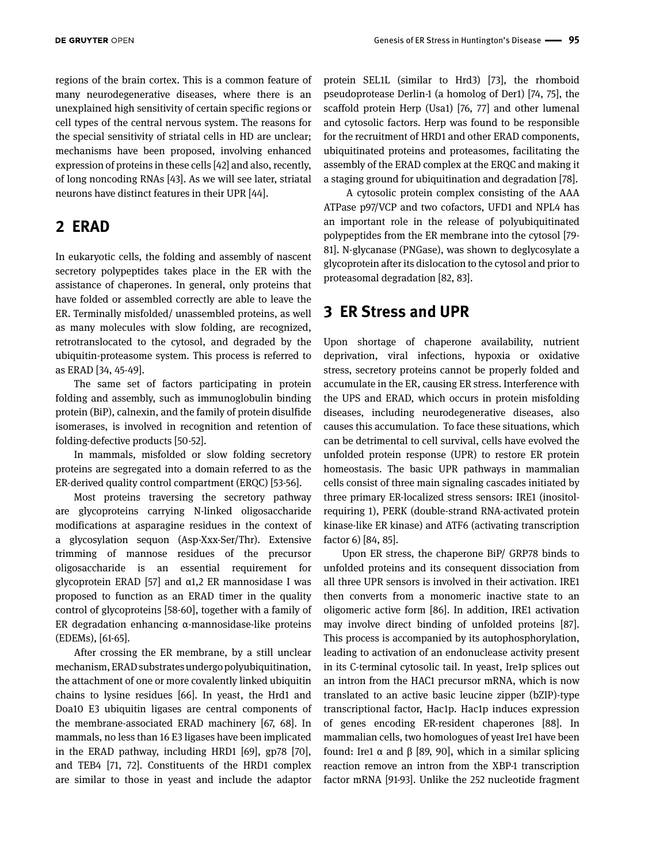regions of the brain cortex. This is a common feature of many neurodegenerative diseases, where there is an unexplained high sensitivity of certain specific regions or cell types of the central nervous system. The reasons for the special sensitivity of striatal cells in HD are unclear; mechanisms have been proposed, involving enhanced expression of proteins in these cells [42] and also, recently, of long noncoding RNAs [43]. As we will see later, striatal neurons have distinct features in their UPR [44].

## **2 ERAD**

In eukaryotic cells, the folding and assembly of nascent secretory polypeptides takes place in the ER with the assistance of chaperones. In general, only proteins that have folded or assembled correctly are able to leave the ER. Terminally misfolded/ unassembled proteins, as well as many molecules with slow folding, are recognized, retrotranslocated to the cytosol, and degraded by the ubiquitin-proteasome system. This process is referred to as ERAD [34, 45-49].

The same set of factors participating in protein folding and assembly, such as immunoglobulin binding protein (BiP), calnexin, and the family of protein disulfide isomerases, is involved in recognition and retention of folding-defective products [50-52].

In mammals, misfolded or slow folding secretory proteins are segregated into a domain referred to as the ER-derived quality control compartment (ERQC) [53-56].

Most proteins traversing the secretory pathway are glycoproteins carrying N-linked oligosaccharide modifications at asparagine residues in the context of a glycosylation sequon (Asp-Xxx-Ser/Thr). Extensive trimming of mannose residues of the precursor oligosaccharide is an essential requirement for glycoprotein ERAD [57] and α1,2 ER mannosidase I was proposed to function as an ERAD timer in the quality control of glycoproteins [58-60], together with a family of ER degradation enhancing α-mannosidase-like proteins (EDEMs), [61-65].

After crossing the ER membrane, by a still unclear mechanism, ERAD substrates undergo polyubiquitination, the attachment of one or more covalently linked ubiquitin chains to lysine residues [66]. In yeast, the Hrd1 and Doa10 E3 ubiquitin ligases are central components of the membrane-associated ERAD machinery [67, 68]. In mammals, no less than 16 E3 ligases have been implicated in the ERAD pathway, including HRD1 [69], gp78 [70], and TEB4 [71, 72]. Constituents of the HRD1 complex are similar to those in yeast and include the adaptor

protein SEL1L (similar to Hrd3) [73], the rhomboid pseudoprotease Derlin-1 (a homolog of Der1) [74, 75], the scaffold protein Herp (Usa1) [76, 77] and other lumenal and cytosolic factors. Herp was found to be responsible for the recruitment of HRD1 and other ERAD components, ubiquitinated proteins and proteasomes, facilitating the assembly of the ERAD complex at the ERQC and making it a staging ground for ubiquitination and degradation [78].

 A cytosolic protein complex consisting of the AAA ATPase p97/VCP and two cofactors, UFD1 and NPL4 has an important role in the release of polyubiquitinated polypeptides from the ER membrane into the cytosol [79- 81]. N-glycanase (PNGase), was shown to deglycosylate a glycoprotein after its dislocation to the cytosol and prior to proteasomal degradation [82, 83].

### **3 ER Stress and UPR**

Upon shortage of chaperone availability, nutrient deprivation, viral infections, hypoxia or oxidative stress, secretory proteins cannot be properly folded and accumulate in the ER, causing ER stress. Interference with the UPS and ERAD, which occurs in protein misfolding diseases, including neurodegenerative diseases, also causes this accumulation. To face these situations, which can be detrimental to cell survival, cells have evolved the unfolded protein response (UPR) to restore ER protein homeostasis. The basic UPR pathways in mammalian cells consist of three main signaling cascades initiated by three primary ER-localized stress sensors: IRE1 (inositolrequiring 1), PERK (double-strand RNA-activated protein kinase-like ER kinase) and ATF6 (activating transcription factor 6) [84, 85].

Upon ER stress, the chaperone BiP/ GRP78 binds to unfolded proteins and its consequent dissociation from all three UPR sensors is involved in their activation. IRE1 then converts from a monomeric inactive state to an oligomeric active form [86]. In addition, IRE1 activation may involve direct binding of unfolded proteins [87]. This process is accompanied by its autophosphorylation, leading to activation of an endonuclease activity present in its C-terminal cytosolic tail. In yeast, Ire1p splices out an intron from the HAC1 precursor mRNA, which is now translated to an active basic leucine zipper (bZIP)-type transcriptional factor, Hac1p. Hac1p induces expression of genes encoding ER-resident chaperones [88]. In mammalian cells, two homologues of yeast Ire1 have been found: Ire1 α and β [89, 90], which in a similar splicing reaction remove an intron from the XBP-1 transcription factor mRNA [91-93]. Unlike the 252 nucleotide fragment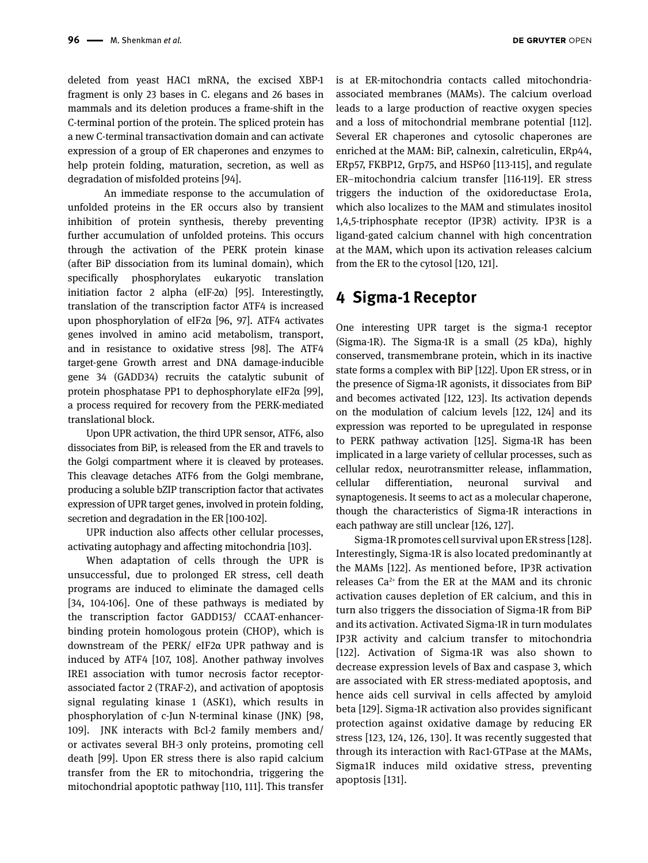deleted from yeast HAC1 mRNA, the excised XBP-1 fragment is only 23 bases in C. elegans and 26 bases in mammals and its deletion produces a frame-shift in the C-terminal portion of the protein. The spliced protein has a new C-terminal transactivation domain and can activate expression of a group of ER chaperones and enzymes to help protein folding, maturation, secretion, as well as degradation of misfolded proteins [94].

 An immediate response to the accumulation of unfolded proteins in the ER occurs also by transient inhibition of protein synthesis, thereby preventing further accumulation of unfolded proteins. This occurs through the activation of the PERK protein kinase (after BiP dissociation from its luminal domain), which specifically phosphorylates eukaryotic translation initiation factor 2 alpha (eIF-2 $\alpha$ ) [95]. Interestingtly, translation of the transcription factor ATF4 is increased upon phosphorylation of eIF2α [96, 97]. ATF4 activates genes involved in amino acid metabolism, transport, and in resistance to oxidative stress [98]. The ATF4 target-gene Growth arrest and DNA damage-inducible gene 34 (GADD34) recruits the catalytic subunit of protein phosphatase PP1 to dephosphorylate eIF2α [99], a process required for recovery from the PERK-mediated translational block.

Upon UPR activation, the third UPR sensor, ATF6, also dissociates from BiP, is released from the ER and travels to the Golgi compartment where it is cleaved by proteases. This cleavage detaches ATF6 from the Golgi membrane, producing a soluble bZIP transcription factor that activates expression of UPR target genes, involved in protein folding, secretion and degradation in the ER [100-102].

UPR induction also affects other cellular processes, activating autophagy and affecting mitochondria [103].

When adaptation of cells through the UPR is unsuccessful, due to prolonged ER stress, cell death programs are induced to eliminate the damaged cells [34, 104-106]. One of these pathways is mediated by the transcription factor GADD153/ CCAAT-enhancerbinding protein homologous protein (CHOP), which is downstream of the PERK/ eIF2α UPR pathway and is induced by ATF4 [107, 108]. Another pathway involves IRE1 association with tumor necrosis factor receptorassociated factor 2 (TRAF-2), and activation of apoptosis signal regulating kinase 1 (ASK1), which results in phosphorylation of c-Jun N-terminal kinase (JNK) [98, 109]. JNK interacts with Bcl-2 family members and/ or activates several BH-3 only proteins, promoting cell death [99]. Upon ER stress there is also rapid calcium transfer from the ER to mitochondria, triggering the mitochondrial apoptotic pathway [110, 111]. This transfer

is at ER-mitochondria contacts called mitochondriaassociated membranes (MAMs). The calcium overload leads to a large production of reactive oxygen species and a loss of mitochondrial membrane potential [112]. Several ER chaperones and cytosolic chaperones are enriched at the MAM: BiP, calnexin, calreticulin, ERp44, ERp57, FKBP12, Grp75, and HSP60 [113-115], and regulate ER–mitochondria calcium transfer [116-119]. ER stress triggers the induction of the oxidoreductase Ero1a, which also localizes to the MAM and stimulates inositol 1,4,5-triphosphate receptor (IP3R) activity. IP3R is a ligand-gated calcium channel with high concentration at the MAM, which upon its activation releases calcium from the ER to the cytosol [120, 121].

## **4 Sigma-1 Receptor**

One interesting UPR target is the sigma-1 receptor (Sigma-1R). The Sigma-1R is a small (25 kDa), highly conserved, transmembrane protein, which in its inactive state forms a complex with BiP [122]. Upon ER stress, or in the presence of Sigma-1R agonists, it dissociates from BiP and becomes activated [122, 123]. Its activation depends on the modulation of calcium levels [122, 124] and its expression was reported to be upregulated in response to PERK pathway activation [125]. Sigma-1R has been implicated in a large variety of cellular processes, such as cellular redox, neurotransmitter release, inflammation, cellular differentiation, neuronal survival and synaptogenesis. It seems to act as a molecular chaperone, though the characteristics of Sigma-1R interactions in each pathway are still unclear [126, 127].

Sigma-1R promotes cell survival upon ER stress [128]. Interestingly, Sigma-1R is also located predominantly at the MAMs [122]. As mentioned before, IP3R activation releases Ca2+ from the ER at the MAM and its chronic activation causes depletion of ER calcium, and this in turn also triggers the dissociation of Sigma-1R from BiP and its activation. Activated Sigma-1R in turn modulates IP3R activity and calcium transfer to mitochondria [122]. Activation of Sigma-1R was also shown to decrease expression levels of Bax and caspase 3, which are associated with ER stress-mediated apoptosis, and hence aids cell survival in cells affected by amyloid beta [129]. Sigma-1R activation also provides significant protection against oxidative damage by reducing ER stress [123, 124, 126, 130]. It was recently suggested that through its interaction with Rac1-GTPase at the MAMs, Sigma1R induces mild oxidative stress, preventing apoptosis [131].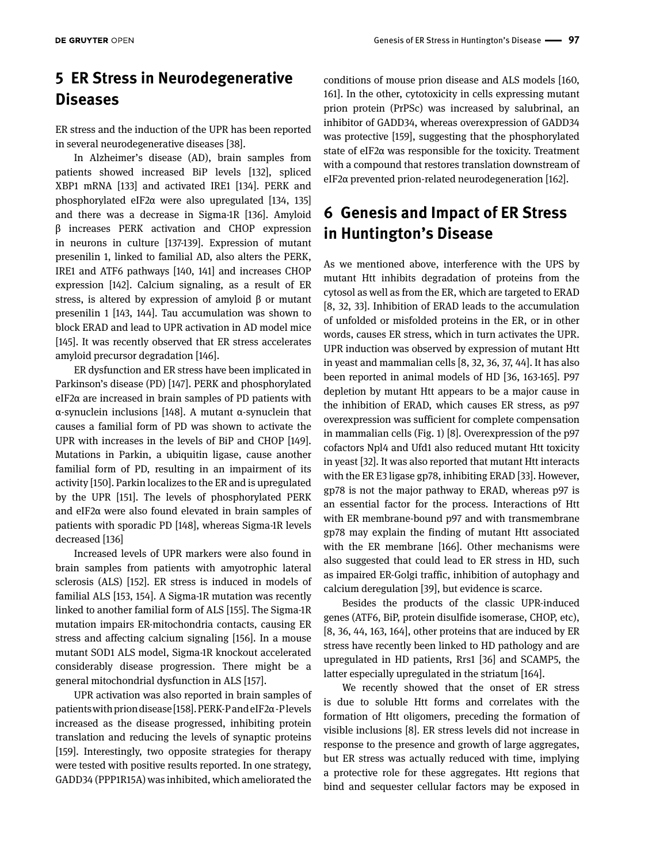## **5 ER Stress in Neurodegenerative Diseases**

ER stress and the induction of the UPR has been reported in several neurodegenerative diseases [38].

In Alzheimer's disease (AD), brain samples from patients showed increased BiP levels [132], spliced XBP1 mRNA [133] and activated IRE1 [134]. PERK and phosphorylated eIF2α were also upregulated [134, 135] and there was a decrease in Sigma-1R [136]. Amyloid β increases PERK activation and CHOP expression in neurons in culture [137-139]. Expression of mutant presenilin 1, linked to familial AD, also alters the PERK, IRE1 and ATF6 pathways [140, 141] and increases CHOP expression [142]. Calcium signaling, as a result of ER stress, is altered by expression of amyloid β or mutant presenilin 1 [143, 144]. Tau accumulation was shown to block ERAD and lead to UPR activation in AD model mice [145]. It was recently observed that ER stress accelerates amyloid precursor degradation [146].

ER dysfunction and ER stress have been implicated in Parkinson's disease (PD) [147]. PERK and phosphorylated eIF2α are increased in brain samples of PD patients with α-synuclein inclusions [148]. A mutant α-synuclein that causes a familial form of PD was shown to activate the UPR with increases in the levels of BiP and CHOP [149]. Mutations in Parkin, a ubiquitin ligase, cause another familial form of PD, resulting in an impairment of its activity [150]. Parkin localizes to the ER and is upregulated by the UPR [151]. The levels of phosphorylated PERK and eIF2α were also found elevated in brain samples of patients with sporadic PD [148], whereas Sigma-1R levels decreased [136]

Increased levels of UPR markers were also found in brain samples from patients with amyotrophic lateral sclerosis (ALS) [152]. ER stress is induced in models of familial ALS [153, 154]. A Sigma-1R mutation was recently linked to another familial form of ALS [155]. The Sigma-1R mutation impairs ER-mitochondria contacts, causing ER stress and affecting calcium signaling [156]. In a mouse mutant SOD1 ALS model, Sigma-1R knockout accelerated considerably disease progression. There might be a general mitochondrial dysfunction in ALS [157].

UPR activation was also reported in brain samples of patients with prion disease [158]. PERK-P and eIF2α -P levels increased as the disease progressed, inhibiting protein translation and reducing the levels of synaptic proteins [159]. Interestingly, two opposite strategies for therapy were tested with positive results reported. In one strategy, GADD34 (PPP1R15A) was inhibited, which ameliorated the

conditions of mouse prion disease and ALS models [160, 161]. In the other, cytotoxicity in cells expressing mutant prion protein (PrPSc) was increased by salubrinal, an inhibitor of GADD34, whereas overexpression of GADD34 was protective [159], suggesting that the phosphorylated state of eIF2α was responsible for the toxicity. Treatment with a compound that restores translation downstream of eIF2α prevented prion-related neurodegeneration [162].

## **6 Genesis and Impact of ER Stress in Huntington's Disease**

As we mentioned above, interference with the UPS by mutant Htt inhibits degradation of proteins from the cytosol as well as from the ER, which are targeted to ERAD [8, 32, 33]. Inhibition of ERAD leads to the accumulation of unfolded or misfolded proteins in the ER, or in other words, causes ER stress, which in turn activates the UPR. UPR induction was observed by expression of mutant Htt in yeast and mammalian cells [8, 32, 36, 37, 44]. It has also been reported in animal models of HD [36, 163-165]. P97 depletion by mutant Htt appears to be a major cause in the inhibition of ERAD, which causes ER stress, as p97 overexpression was sufficient for complete compensation in mammalian cells (Fig. 1) [8]. Overexpression of the p97 cofactors Npl4 and Ufd1 also reduced mutant Htt toxicity in yeast [32]. It was also reported that mutant Htt interacts with the ER E3 ligase gp78, inhibiting ERAD [33]. However, gp78 is not the major pathway to ERAD, whereas p97 is an essential factor for the process. Interactions of Htt with ER membrane-bound p97 and with transmembrane gp78 may explain the finding of mutant Htt associated with the ER membrane [166]. Other mechanisms were also suggested that could lead to ER stress in HD, such as impaired ER-Golgi traffic, inhibition of autophagy and calcium deregulation [39], but evidence is scarce.

Besides the products of the classic UPR-induced genes (ATF6, BiP, protein disulfide isomerase, CHOP, etc), [8, 36, 44, 163, 164], other proteins that are induced by ER stress have recently been linked to HD pathology and are upregulated in HD patients, Rrs1 [36] and SCAMP5, the latter especially upregulated in the striatum [164].

We recently showed that the onset of ER stress is due to soluble Htt forms and correlates with the formation of Htt oligomers, preceding the formation of visible inclusions [8]. ER stress levels did not increase in response to the presence and growth of large aggregates, but ER stress was actually reduced with time, implying a protective role for these aggregates. Htt regions that bind and sequester cellular factors may be exposed in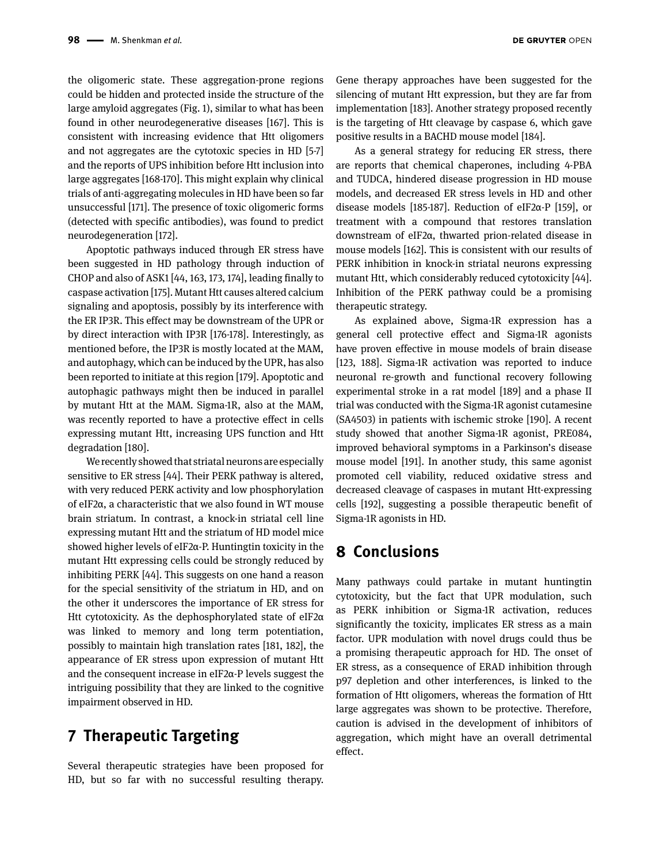the oligomeric state. These aggregation-prone regions could be hidden and protected inside the structure of the large amyloid aggregates (Fig. 1), similar to what has been found in other neurodegenerative diseases [167]. This is consistent with increasing evidence that Htt oligomers and not aggregates are the cytotoxic species in HD [5-7] and the reports of UPS inhibition before Htt inclusion into large aggregates [168-170]. This might explain why clinical trials of anti-aggregating molecules in HD have been so far unsuccessful [171]. The presence of toxic oligomeric forms (detected with specific antibodies), was found to predict neurodegeneration [172].

Apoptotic pathways induced through ER stress have been suggested in HD pathology through induction of CHOP and also of ASK1 [44, 163, 173, 174], leading finally to caspase activation [175]. Mutant Htt causes altered calcium signaling and apoptosis, possibly by its interference with the ER IP3R. This effect may be downstream of the UPR or by direct interaction with IP3R [176-178]. Interestingly, as mentioned before, the IP3R is mostly located at the MAM, and autophagy, which can be induced by the UPR, has also been reported to initiate at this region [179]. Apoptotic and autophagic pathways might then be induced in parallel by mutant Htt at the MAM. Sigma-1R, also at the MAM, was recently reported to have a protective effect in cells expressing mutant Htt, increasing UPS function and Htt degradation [180].

We recently showed that striatal neurons are especially sensitive to ER stress [44]. Their PERK pathway is altered, with very reduced PERK activity and low phosphorylation of eIF2α, a characteristic that we also found in WT mouse brain striatum. In contrast, a knock-in striatal cell line expressing mutant Htt and the striatum of HD model mice showed higher levels of eIF2α-P. Huntingtin toxicity in the mutant Htt expressing cells could be strongly reduced by inhibiting PERK [44]. This suggests on one hand a reason for the special sensitivity of the striatum in HD, and on the other it underscores the importance of ER stress for Htt cytotoxicity. As the dephosphorylated state of eIF2α was linked to memory and long term potentiation, possibly to maintain high translation rates [181, 182], the appearance of ER stress upon expression of mutant Htt and the consequent increase in eIF2α-P levels suggest the intriguing possibility that they are linked to the cognitive impairment observed in HD.

## **7 Therapeutic Targeting**

Several therapeutic strategies have been proposed for HD, but so far with no successful resulting therapy.

As a general strategy for reducing ER stress, there are reports that chemical chaperones, including 4-PBA and TUDCA, hindered disease progression in HD mouse models, and decreased ER stress levels in HD and other disease models [185-187]. Reduction of eIF2α-P [159], or treatment with a compound that restores translation downstream of eIF2α, thwarted prion-related disease in mouse models [162]. This is consistent with our results of PERK inhibition in knock-in striatal neurons expressing mutant Htt, which considerably reduced cytotoxicity [44]. Inhibition of the PERK pathway could be a promising therapeutic strategy.

As explained above, Sigma-1R expression has a general cell protective effect and Sigma-1R agonists have proven effective in mouse models of brain disease [123, 188]. Sigma-1R activation was reported to induce neuronal re-growth and functional recovery following experimental stroke in a rat model [189] and a phase II trial was conducted with the Sigma-1R agonist cutamesine (SA4503) in patients with ischemic stroke [190]. A recent study showed that another Sigma-1R agonist, PRE084, improved behavioral symptoms in a Parkinson's disease mouse model [191]. In another study, this same agonist promoted cell viability, reduced oxidative stress and decreased cleavage of caspases in mutant Htt-expressing cells [192], suggesting a possible therapeutic benefit of Sigma-1R agonists in HD.

## **8 Conclusions**

Many pathways could partake in mutant huntingtin cytotoxicity, but the fact that UPR modulation, such as PERK inhibition or Sigma-1R activation, reduces significantly the toxicity, implicates ER stress as a main factor. UPR modulation with novel drugs could thus be a promising therapeutic approach for HD. The onset of ER stress, as a consequence of ERAD inhibition through p97 depletion and other interferences, is linked to the formation of Htt oligomers, whereas the formation of Htt large aggregates was shown to be protective. Therefore, caution is advised in the development of inhibitors of aggregation, which might have an overall detrimental effect.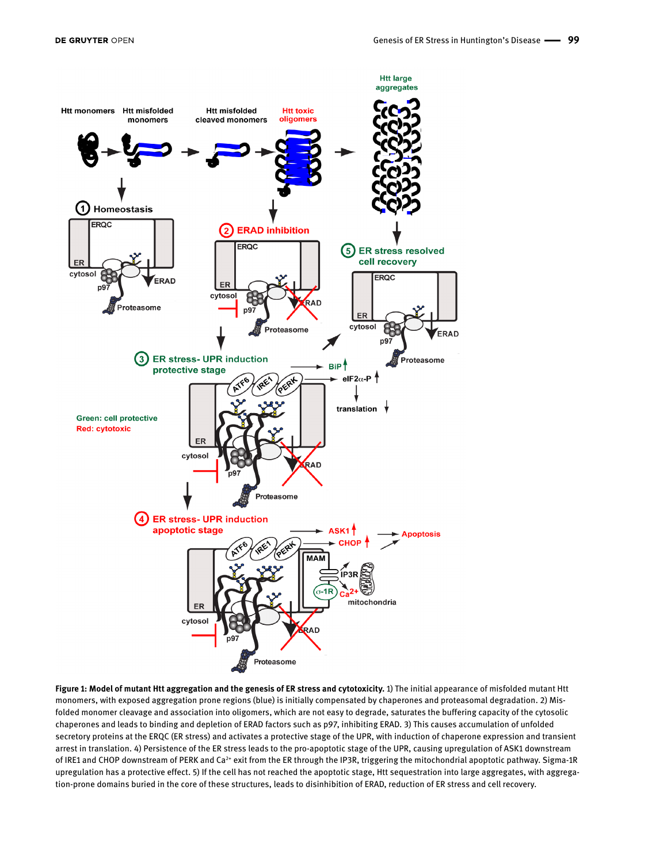

**Figure 1: Model of mutant Htt aggregation and the genesis of ER stress and cytotoxicity.** 1) The initial appearance of misfolded mutant Htt monomers, with exposed aggregation prone regions (blue) is initially compensated by chaperones and proteasomal degradation. 2) Misfolded monomer cleavage and association into oligomers, which are not easy to degrade, saturates the buffering capacity of the cytosolic chaperones and leads to binding and depletion of ERAD factors such as p97, inhibiting ERAD. 3) This causes accumulation of unfolded secretory proteins at the ERQC (ER stress) and activates a protective stage of the UPR, with induction of chaperone expression and transient arrest in translation. 4) Persistence of the ER stress leads to the pro-apoptotic stage of the UPR, causing upregulation of ASK1 downstream of IRE1 and CHOP downstream of PERK and Ca<sup>2+</sup> exit from the ER through the IP3R, triggering the mitochondrial apoptotic pathway. Sigma-1R upregulation has a protective effect. 5) If the cell has not reached the apoptotic stage, Htt sequestration into large aggregates, with aggregation-prone domains buried in the core of these structures, leads to disinhibition of ERAD, reduction of ER stress and cell recovery.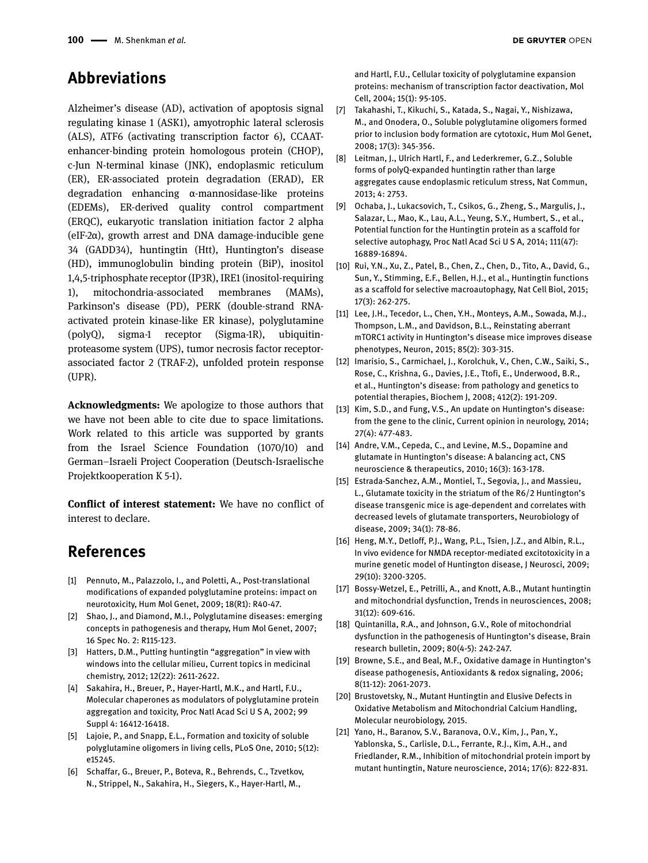#### **Abbreviations**

Alzheimer's disease (AD), activation of apoptosis signal regulating kinase 1 (ASK1), amyotrophic lateral sclerosis (ALS), ATF6 (activating transcription factor 6), CCAATenhancer-binding protein homologous protein (CHOP), c-Jun N-terminal kinase (JNK), endoplasmic reticulum (ER), ER-associated protein degradation (ERAD), ER degradation enhancing α-mannosidase-like proteins (EDEMs), ER-derived quality control compartment (ERQC), eukaryotic translation initiation factor 2 alpha (eIF-2α), growth arrest and DNA damage-inducible gene 34 (GADD34), huntingtin (Htt), Huntington's disease (HD), immunoglobulin binding protein (BiP), inositol 1,4,5-triphosphate receptor (IP3R), IRE1 (inositol-requiring 1), mitochondria-associated membranes (MAMs), Parkinson's disease (PD), PERK (double-strand RNAactivated protein kinase-like ER kinase), polyglutamine (polyQ), sigma-1 receptor (Sigma-1R), ubiquitinproteasome system (UPS), tumor necrosis factor receptorassociated factor 2 (TRAF-2), unfolded protein response (UPR).

**Acknowledgments:** We apologize to those authors that we have not been able to cite due to space limitations. Work related to this article was supported by grants from the Israel Science Foundation (1070/10) and German–Israeli Project Cooperation (Deutsch-Israelische Projektkooperation K 5-1).

**Conflict of interest statement:** We have no conflict of interest to declare.

### **References**

- [1] Pennuto, M., Palazzolo, I., and Poletti, A., Post-translational modifications of expanded polyglutamine proteins: impact on neurotoxicity, Hum Mol Genet, 2009; 18(R1): R40-47.
- [2] Shao, J., and Diamond, M.I., Polyglutamine diseases: emerging concepts in pathogenesis and therapy, Hum Mol Genet, 2007; 16 Spec No. 2: R115-123.
- [3] Hatters, D.M., Putting huntingtin "aggregation" in view with windows into the cellular milieu, Current topics in medicinal chemistry, 2012; 12(22): 2611-2622.
- [4] Sakahira, H., Breuer, P., Hayer-Hartl, M.K., and Hartl, F.U., Molecular chaperones as modulators of polyglutamine protein aggregation and toxicity, Proc Natl Acad Sci U S A, 2002; 99 Suppl 4: 16412-16418.
- [5] Lajoie, P., and Snapp, E.L., Formation and toxicity of soluble polyglutamine oligomers in living cells, PLoS One, 2010; 5(12): e15245.
- [6] Schaffar, G., Breuer, P., Boteva, R., Behrends, C., Tzvetkov, N., Strippel, N., Sakahira, H., Siegers, K., Hayer-Hartl, M.,

and Hartl, F.U., Cellular toxicity of polyglutamine expansion proteins: mechanism of transcription factor deactivation, Mol Cell, 2004; 15(1): 95-105.

- [7] Takahashi, T., Kikuchi, S., Katada, S., Nagai, Y., Nishizawa, M., and Onodera, O., Soluble polyglutamine oligomers formed prior to inclusion body formation are cytotoxic, Hum Mol Genet, 2008; 17(3): 345-356.
- [8] Leitman, J., Ulrich Hartl, F., and Lederkremer, G.Z., Soluble forms of polyQ-expanded huntingtin rather than large aggregates cause endoplasmic reticulum stress, Nat Commun, 2013; 4: 2753.
- [9] Ochaba, J., Lukacsovich, T., Csikos, G., Zheng, S., Margulis, J., Salazar, L., Mao, K., Lau, A.L., Yeung, S.Y., Humbert, S., et al., Potential function for the Huntingtin protein as a scaffold for selective autophagy, Proc Natl Acad Sci U S A, 2014; 111(47): 16889-16894.
- [10] Rui, Y.N., Xu, Z., Patel, B., Chen, Z., Chen, D., Tito, A., David, G., Sun, Y., Stimming, E.F., Bellen, H.J., et al., Huntingtin functions as a scaffold for selective macroautophagy, Nat Cell Biol, 2015; 17(3): 262-275.
- [11] Lee, J.H., Tecedor, L., Chen, Y.H., Monteys, A.M., Sowada, M.J., Thompson, L.M., and Davidson, B.L., Reinstating aberrant mTORC1 activity in Huntington's disease mice improves disease phenotypes, Neuron, 2015; 85(2): 303-315.
- [12] Imarisio, S., Carmichael, J., Korolchuk, V., Chen, C.W., Saiki, S., Rose, C., Krishna, G., Davies, J.E., Ttofi, E., Underwood, B.R., et al., Huntington's disease: from pathology and genetics to potential therapies, Biochem J, 2008; 412(2): 191-209.
- [13] Kim, S.D., and Fung, V.S., An update on Huntington's disease: from the gene to the clinic, Current opinion in neurology, 2014; 27(4): 477-483.
- [14] Andre, V.M., Cepeda, C., and Levine, M.S., Dopamine and glutamate in Huntington's disease: A balancing act, CNS neuroscience & therapeutics, 2010; 16(3): 163-178.
- [15] Estrada-Sanchez, A.M., Montiel, T., Segovia, J., and Massieu, L., Glutamate toxicity in the striatum of the R6/2 Huntington's disease transgenic mice is age-dependent and correlates with decreased levels of glutamate transporters, Neurobiology of disease, 2009; 34(1): 78-86.
- [16] Heng, M.Y., Detloff, P.J., Wang, P.L., Tsien, J.Z., and Albin, R.L., In vivo evidence for NMDA receptor-mediated excitotoxicity in a murine genetic model of Huntington disease, J Neurosci, 2009; 29(10): 3200-3205.
- [17] Bossy-Wetzel, E., Petrilli, A., and Knott, A.B., Mutant huntingtin and mitochondrial dysfunction, Trends in neurosciences, 2008; 31(12): 609-616.
- [18] Quintanilla, R.A., and Johnson, G.V., Role of mitochondrial dysfunction in the pathogenesis of Huntington's disease, Brain research bulletin, 2009; 80(4-5): 242-247.
- [19] Browne, S.E., and Beal, M.F., Oxidative damage in Huntington's disease pathogenesis, Antioxidants & redox signaling, 2006; 8(11-12): 2061-2073.
- [20] Brustovetsky, N., Mutant Huntingtin and Elusive Defects in Oxidative Metabolism and Mitochondrial Calcium Handling, Molecular neurobiology, 2015.
- [21] Yano, H., Baranov, S.V., Baranova, O.V., Kim, J., Pan, Y., Yablonska, S., Carlisle, D.L., Ferrante, R.J., Kim, A.H., and Friedlander, R.M., Inhibition of mitochondrial protein import by mutant huntingtin, Nature neuroscience, 2014; 17(6): 822-831.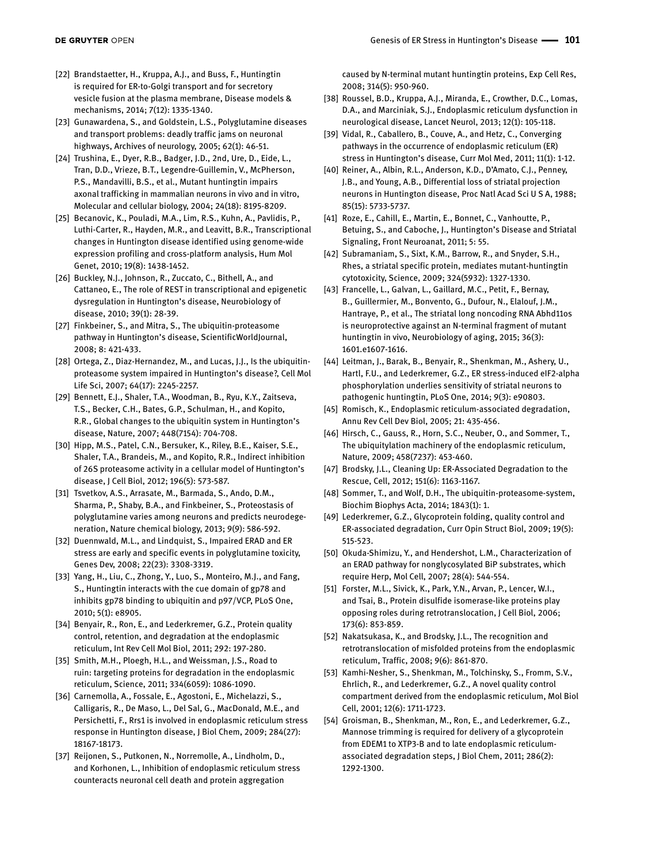- [22] Brandstaetter, H., Kruppa, A.J., and Buss, F., Huntingtin is required for ER-to-Golgi transport and for secretory vesicle fusion at the plasma membrane, Disease models & mechanisms, 2014; 7(12): 1335-1340.
- [23] Gunawardena, S., and Goldstein, L.S., Polyglutamine diseases and transport problems: deadly traffic jams on neuronal highways, Archives of neurology, 2005; 62(1): 46-51.
- [24] Trushina, E., Dyer, R.B., Badger, J.D., 2nd, Ure, D., Eide, L., Tran, D.D., Vrieze, B.T., Legendre-Guillemin, V., McPherson, P.S., Mandavilli, B.S., et al., Mutant huntingtin impairs axonal trafficking in mammalian neurons in vivo and in vitro, Molecular and cellular biology, 2004; 24(18): 8195-8209.
- [25] Becanovic, K., Pouladi, M.A., Lim, R.S., Kuhn, A., Pavlidis, P., Luthi-Carter, R., Hayden, M.R., and Leavitt, B.R., Transcriptional changes in Huntington disease identified using genome-wide expression profiling and cross-platform analysis, Hum Mol Genet, 2010; 19(8): 1438-1452.
- [26] Buckley, N.J., Johnson, R., Zuccato, C., Bithell, A., and Cattaneo, E., The role of REST in transcriptional and epigenetic dysregulation in Huntington's disease, Neurobiology of disease, 2010; 39(1): 28-39.
- [27] Finkbeiner, S., and Mitra, S., The ubiquitin-proteasome pathway in Huntington's disease, ScientificWorldJournal, 2008; 8: 421-433.
- [28] Ortega, Z., Diaz-Hernandez, M., and Lucas, J.J., Is the ubiquitinproteasome system impaired in Huntington's disease?, Cell Mol Life Sci, 2007; 64(17): 2245-2257.
- [29] Bennett, E.J., Shaler, T.A., Woodman, B., Ryu, K.Y., Zaitseva, T.S., Becker, C.H., Bates, G.P., Schulman, H., and Kopito, R.R., Global changes to the ubiquitin system in Huntington's disease, Nature, 2007; 448(7154): 704-708.
- [30] Hipp, M.S., Patel, C.N., Bersuker, K., Riley, B.E., Kaiser, S.E., Shaler, T.A., Brandeis, M., and Kopito, R.R., Indirect inhibition of 26S proteasome activity in a cellular model of Huntington's disease, J Cell Biol, 2012; 196(5): 573-587.
- [31] Tsvetkov, A.S., Arrasate, M., Barmada, S., Ando, D.M., Sharma, P., Shaby, B.A., and Finkbeiner, S., Proteostasis of polyglutamine varies among neurons and predicts neurodegeneration, Nature chemical biology, 2013; 9(9): 586-592.
- [32] Duennwald, M.L., and Lindquist, S., Impaired ERAD and ER stress are early and specific events in polyglutamine toxicity, Genes Dev, 2008; 22(23): 3308-3319.
- [33] Yang, H., Liu, C., Zhong, Y., Luo, S., Monteiro, M.J., and Fang, S., Huntingtin interacts with the cue domain of gp78 and inhibits gp78 binding to ubiquitin and p97/VCP, PLoS One, 2010; 5(1): e8905.
- [34] Benyair, R., Ron, E., and Lederkremer, G.Z., Protein quality control, retention, and degradation at the endoplasmic reticulum, Int Rev Cell Mol Biol, 2011; 292: 197-280.
- [35] Smith, M.H., Ploegh, H.L., and Weissman, J.S., Road to ruin: targeting proteins for degradation in the endoplasmic reticulum, Science, 2011; 334(6059): 1086-1090.
- [36] Carnemolla, A., Fossale, E., Agostoni, E., Michelazzi, S., Calligaris, R., De Maso, L., Del Sal, G., MacDonald, M.E., and Persichetti, F., Rrs1 is involved in endoplasmic reticulum stress response in Huntington disease, J Biol Chem, 2009; 284(27): 18167-18173.
- [37] Reijonen, S., Putkonen, N., Norremolle, A., Lindholm, D., and Korhonen, L., Inhibition of endoplasmic reticulum stress counteracts neuronal cell death and protein aggregation

caused by N-terminal mutant huntingtin proteins, Exp Cell Res, 2008; 314(5): 950-960.

- [38] Roussel, B.D., Kruppa, A.J., Miranda, E., Crowther, D.C., Lomas, D.A., and Marciniak, S.J., Endoplasmic reticulum dysfunction in neurological disease, Lancet Neurol, 2013; 12(1): 105-118.
- [39] Vidal, R., Caballero, B., Couve, A., and Hetz, C., Converging pathways in the occurrence of endoplasmic reticulum (ER) stress in Huntington's disease, Curr Mol Med, 2011; 11(1): 1-12.
- [40] Reiner, A., Albin, R.L., Anderson, K.D., D'Amato, C.J., Penney, J.B., and Young, A.B., Differential loss of striatal projection neurons in Huntington disease, Proc Natl Acad Sci U S A, 1988; 85(15): 5733-5737.
- [41] Roze, E., Cahill, E., Martin, E., Bonnet, C., Vanhoutte, P., Betuing, S., and Caboche, J., Huntington's Disease and Striatal Signaling, Front Neuroanat, 2011; 5: 55.
- [42] Subramaniam, S., Sixt, K.M., Barrow, R., and Snyder, S.H., Rhes, a striatal specific protein, mediates mutant-huntingtin cytotoxicity, Science, 2009; 324(5932): 1327-1330.
- [43] Francelle, L., Galvan, L., Gaillard, M.C., Petit, F., Bernay, B., Guillermier, M., Bonvento, G., Dufour, N., Elalouf, J.M., Hantraye, P., et al., The striatal long noncoding RNA Abhd11os is neuroprotective against an N-terminal fragment of mutant huntingtin in vivo, Neurobiology of aging, 2015; 36(3): 1601.e1607-1616.
- [44] Leitman, J., Barak, B., Benyair, R., Shenkman, M., Ashery, U., Hartl, F.U., and Lederkremer, G.Z., ER stress-induced eIF2-alpha phosphorylation underlies sensitivity of striatal neurons to pathogenic huntingtin, PLoS One, 2014; 9(3): e90803.
- [45] Romisch, K., Endoplasmic reticulum-associated degradation, Annu Rev Cell Dev Biol, 2005; 21: 435-456.
- [46] Hirsch, C., Gauss, R., Horn, S.C., Neuber, O., and Sommer, T., The ubiquitylation machinery of the endoplasmic reticulum, Nature, 2009; 458(7237): 453-460.
- [47] Brodsky, J.L., Cleaning Up: ER-Associated Degradation to the Rescue, Cell, 2012; 151(6): 1163-1167.
- [48] Sommer, T., and Wolf, D.H., The ubiquitin-proteasome-system, Biochim Biophys Acta, 2014; 1843(1): 1.
- [49] Lederkremer, G.Z., Glycoprotein folding, quality control and ER-associated degradation, Curr Opin Struct Biol, 2009; 19(5): 515-523.
- [50] Okuda-Shimizu, Y., and Hendershot, L.M., Characterization of an ERAD pathway for nonglycosylated BiP substrates, which require Herp, Mol Cell, 2007; 28(4): 544-554.
- [51] Forster, M.L., Sivick, K., Park, Y.N., Arvan, P., Lencer, W.I., and Tsai, B., Protein disulfide isomerase-like proteins play opposing roles during retrotranslocation, J Cell Biol, 2006; 173(6): 853-859.
- [52] Nakatsukasa, K., and Brodsky, J.L., The recognition and retrotranslocation of misfolded proteins from the endoplasmic reticulum, Traffic, 2008; 9(6): 861-870.
- [53] Kamhi-Nesher, S., Shenkman, M., Tolchinsky, S., Fromm, S.V., Ehrlich, R., and Lederkremer, G.Z., A novel quality control compartment derived from the endoplasmic reticulum, Mol Biol Cell, 2001; 12(6): 1711-1723.
- [54] Groisman, B., Shenkman, M., Ron, E., and Lederkremer, G.Z., Mannose trimming is required for delivery of a glycoprotein from EDEM1 to XTP3-B and to late endoplasmic reticulumassociated degradation steps, J Biol Chem, 2011; 286(2): 1292-1300.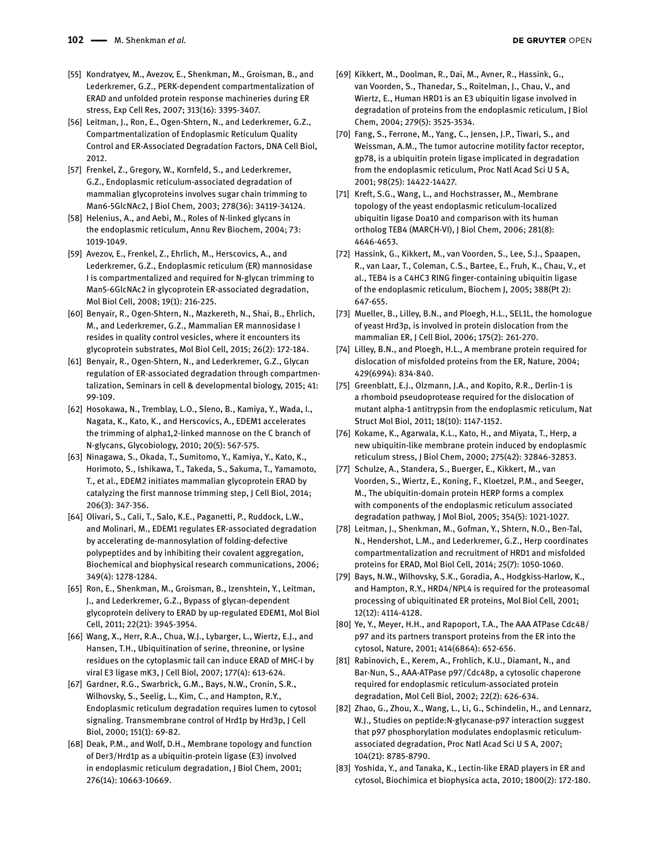- [55] Kondratyev, M., Avezov, E., Shenkman, M., Groisman, B., and Lederkremer, G.Z., PERK-dependent compartmentalization of ERAD and unfolded protein response machineries during ER stress, Exp Cell Res, 2007; 313(16): 3395-3407.
- [56] Leitman, J., Ron, E., Ogen-Shtern, N., and Lederkremer, G.Z., Compartmentalization of Endoplasmic Reticulum Quality Control and ER-Associated Degradation Factors, DNA Cell Biol, 2012.
- [57] Frenkel, Z., Gregory, W., Kornfeld, S., and Lederkremer, G.Z., Endoplasmic reticulum-associated degradation of mammalian glycoproteins involves sugar chain trimming to Man6-5GlcNAc2, J Biol Chem, 2003; 278(36): 34119-34124.
- [58] Helenius, A., and Aebi, M., Roles of N-linked glycans in the endoplasmic reticulum, Annu Rev Biochem, 2004; 73: 1019-1049.
- [59] Avezov, E., Frenkel, Z., Ehrlich, M., Herscovics, A., and Lederkremer, G.Z., Endoplasmic reticulum (ER) mannosidase I is compartmentalized and required for N-glycan trimming to Man5-6GlcNAc2 in glycoprotein ER-associated degradation, Mol Biol Cell, 2008; 19(1): 216-225.
- [60] Benyair, R., Ogen-Shtern, N., Mazkereth, N., Shai, B., Ehrlich, M., and Lederkremer, G.Z., Mammalian ER mannosidase I resides in quality control vesicles, where it encounters its glycoprotein substrates, Mol Biol Cell, 2015; 26(2): 172-184.
- [61] Benyair, R., Ogen-Shtern, N., and Lederkremer, G.Z., Glycan regulation of ER-associated degradation through compartmentalization, Seminars in cell & developmental biology, 2015; 41: 99-109.
- [62] Hosokawa, N., Tremblay, L.O., Sleno, B., Kamiya, Y., Wada, I., Nagata, K., Kato, K., and Herscovics, A., EDEM1 accelerates the trimming of alpha1,2-linked mannose on the C branch of N-glycans, Glycobiology, 2010; 20(5): 567-575.
- [63] Ninagawa, S., Okada, T., Sumitomo, Y., Kamiya, Y., Kato, K., Horimoto, S., Ishikawa, T., Takeda, S., Sakuma, T., Yamamoto, T., et al., EDEM2 initiates mammalian glycoprotein ERAD by catalyzing the first mannose trimming step, J Cell Biol, 2014; 206(3): 347-356.
- [64] Olivari, S., Cali, T., Salo, K.E., Paganetti, P., Ruddock, L.W., and Molinari, M., EDEM1 regulates ER-associated degradation by accelerating de-mannosylation of folding-defective polypeptides and by inhibiting their covalent aggregation, Biochemical and biophysical research communications, 2006; 349(4): 1278-1284.
- [65] Ron, E., Shenkman, M., Groisman, B., Izenshtein, Y., Leitman, J., and Lederkremer, G.Z., Bypass of glycan-dependent glycoprotein delivery to ERAD by up-regulated EDEM1, Mol Biol Cell, 2011; 22(21): 3945-3954.
- [66] Wang, X., Herr, R.A., Chua, W.J., Lybarger, L., Wiertz, E.J., and Hansen, T.H., Ubiquitination of serine, threonine, or lysine residues on the cytoplasmic tail can induce ERAD of MHC-I by viral E3 ligase mK3, J Cell Biol, 2007; 177(4): 613-624.
- [67] Gardner, R.G., Swarbrick, G.M., Bays, N.W., Cronin, S.R., Wilhovsky, S., Seelig, L., Kim, C., and Hampton, R.Y., Endoplasmic reticulum degradation requires lumen to cytosol signaling. Transmembrane control of Hrd1p by Hrd3p, J Cell Biol, 2000; 151(1): 69-82.
- [68] Deak, P.M., and Wolf, D.H., Membrane topology and function of Der3/Hrd1p as a ubiquitin-protein ligase (E3) involved in endoplasmic reticulum degradation, J Biol Chem, 2001; 276(14): 10663-10669.
- [69] Kikkert, M., Doolman, R., Dai, M., Avner, R., Hassink, G., van Voorden, S., Thanedar, S., Roitelman, J., Chau, V., and Wiertz, E., Human HRD1 is an E3 ubiquitin ligase involved in degradation of proteins from the endoplasmic reticulum, J Biol Chem, 2004; 279(5): 3525-3534.
- [70] Fang, S., Ferrone, M., Yang, C., Jensen, J.P., Tiwari, S., and Weissman, A.M., The tumor autocrine motility factor receptor, gp78, is a ubiquitin protein ligase implicated in degradation from the endoplasmic reticulum, Proc Natl Acad Sci U S A, 2001; 98(25): 14422-14427.
- [71] Kreft, S.G., Wang, L., and Hochstrasser, M., Membrane topology of the yeast endoplasmic reticulum-localized ubiquitin ligase Doa10 and comparison with its human ortholog TEB4 (MARCH-VI), J Biol Chem, 2006; 281(8): 4646-4653.
- [72] Hassink, G., Kikkert, M., van Voorden, S., Lee, S.J., Spaapen, R., van Laar, T., Coleman, C.S., Bartee, E., Fruh, K., Chau, V., et al., TEB4 is a C4HC3 RING finger-containing ubiquitin ligase of the endoplasmic reticulum, Biochem J, 2005; 388(Pt 2): 647-655.
- [73] Mueller, B., Lilley, B.N., and Ploegh, H.L., SEL1L, the homologue of yeast Hrd3p, is involved in protein dislocation from the mammalian ER, J Cell Biol, 2006; 175(2): 261-270.
- [74] Lilley, B.N., and Ploegh, H.L., A membrane protein required for dislocation of misfolded proteins from the ER, Nature, 2004; 429(6994): 834-840.
- [75] Greenblatt, E.J., Olzmann, J.A., and Kopito, R.R., Derlin-1 is a rhomboid pseudoprotease required for the dislocation of mutant alpha-1 antitrypsin from the endoplasmic reticulum, Nat Struct Mol Biol, 2011; 18(10): 1147-1152.
- [76] Kokame, K., Agarwala, K.L., Kato, H., and Miyata, T., Herp, a new ubiquitin-like membrane protein induced by endoplasmic reticulum stress, J Biol Chem, 2000; 275(42): 32846-32853.
- [77] Schulze, A., Standera, S., Buerger, E., Kikkert, M., van Voorden, S., Wiertz, E., Koning, F., Kloetzel, P.M., and Seeger, M., The ubiquitin-domain protein HERP forms a complex with components of the endoplasmic reticulum associated degradation pathway, J Mol Biol, 2005; 354(5): 1021-1027.
- [78] Leitman, J., Shenkman, M., Gofman, Y., Shtern, N.O., Ben-Tal, N., Hendershot, L.M., and Lederkremer, G.Z., Herp coordinates compartmentalization and recruitment of HRD1 and misfolded proteins for ERAD, Mol Biol Cell, 2014; 25(7): 1050-1060.
- [79] Bays, N.W., Wilhovsky, S.K., Goradia, A., Hodgkiss-Harlow, K., and Hampton, R.Y., HRD4/NPL4 is required for the proteasomal processing of ubiquitinated ER proteins, Mol Biol Cell, 2001; 12(12): 4114-4128.
- [80] Ye, Y., Meyer, H.H., and Rapoport, T.A., The AAA ATPase Cdc48/ p97 and its partners transport proteins from the ER into the cytosol, Nature, 2001; 414(6864): 652-656.
- [81] Rabinovich, E., Kerem, A., Frohlich, K.U., Diamant, N., and Bar-Nun, S., AAA-ATPase p97/Cdc48p, a cytosolic chaperone required for endoplasmic reticulum-associated protein degradation, Mol Cell Biol, 2002; 22(2): 626-634.
- [82] Zhao, G., Zhou, X., Wang, L., Li, G., Schindelin, H., and Lennarz, W.J., Studies on peptide:N-glycanase-p97 interaction suggest that p97 phosphorylation modulates endoplasmic reticulumassociated degradation, Proc Natl Acad Sci U S A, 2007; 104(21): 8785-8790.
- [83] Yoshida, Y., and Tanaka, K., Lectin-like ERAD players in ER and cytosol, Biochimica et biophysica acta, 2010; 1800(2): 172-180.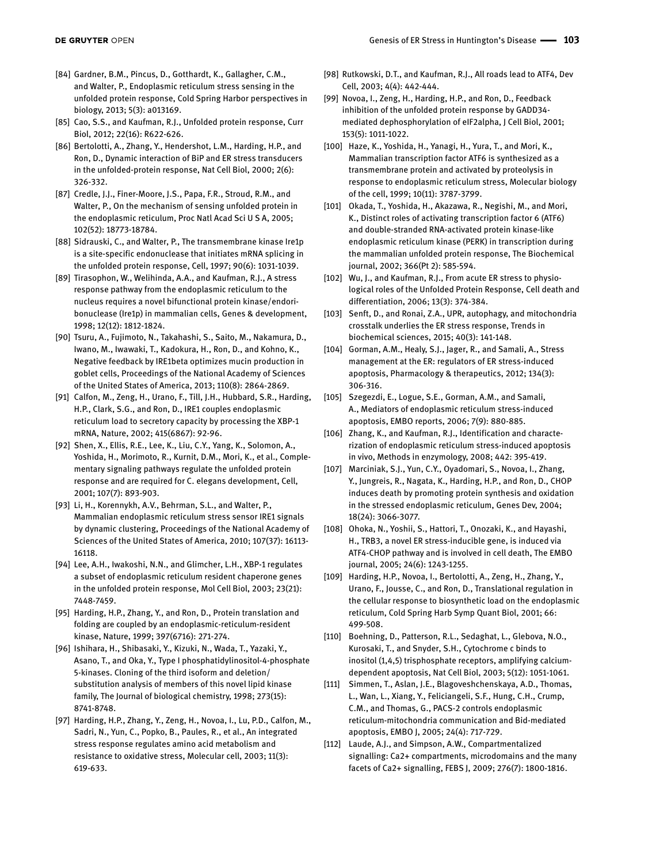- [84] Gardner, B.M., Pincus, D., Gotthardt, K., Gallagher, C.M., and Walter, P., Endoplasmic reticulum stress sensing in the unfolded protein response, Cold Spring Harbor perspectives in biology, 2013; 5(3): a013169.
- [85] Cao, S.S., and Kaufman, R.J., Unfolded protein response, Curr Biol, 2012; 22(16): R622-626.
- [86] Bertolotti, A., Zhang, Y., Hendershot, L.M., Harding, H.P., and Ron, D., Dynamic interaction of BiP and ER stress transducers in the unfolded-protein response, Nat Cell Biol, 2000; 2(6): 326-332.
- [87] Credle, J.J., Finer-Moore, J.S., Papa, F.R., Stroud, R.M., and Walter, P., On the mechanism of sensing unfolded protein in the endoplasmic reticulum, Proc Natl Acad Sci U S A, 2005; 102(52): 18773-18784.
- [88] Sidrauski, C., and Walter, P., The transmembrane kinase Ire1p is a site-specific endonuclease that initiates mRNA splicing in the unfolded protein response, Cell, 1997; 90(6): 1031-1039.
- [89] Tirasophon, W., Welihinda, A.A., and Kaufman, R.J., A stress response pathway from the endoplasmic reticulum to the nucleus requires a novel bifunctional protein kinase/endoribonuclease (Ire1p) in mammalian cells, Genes & development, 1998; 12(12): 1812-1824.
- [90] Tsuru, A., Fujimoto, N., Takahashi, S., Saito, M., Nakamura, D., Iwano, M., Iwawaki, T., Kadokura, H., Ron, D., and Kohno, K., Negative feedback by IRE1beta optimizes mucin production in goblet cells, Proceedings of the National Academy of Sciences of the United States of America, 2013; 110(8): 2864-2869.
- [91] Calfon, M., Zeng, H., Urano, F., Till, J.H., Hubbard, S.R., Harding, H.P., Clark, S.G., and Ron, D., IRE1 couples endoplasmic reticulum load to secretory capacity by processing the XBP-1 mRNA, Nature, 2002; 415(6867): 92-96.
- [92] Shen, X., Ellis, R.E., Lee, K., Liu, C.Y., Yang, K., Solomon, A., Yoshida, H., Morimoto, R., Kurnit, D.M., Mori, K., et al., Complementary signaling pathways regulate the unfolded protein response and are required for C. elegans development, Cell, 2001; 107(7): 893-903.
- [93] Li, H., Korennykh, A.V., Behrman, S.L., and Walter, P., Mammalian endoplasmic reticulum stress sensor IRE1 signals by dynamic clustering, Proceedings of the National Academy of Sciences of the United States of America, 2010; 107(37): 16113- 16118.
- [94] Lee, A.H., Iwakoshi, N.N., and Glimcher, L.H., XBP-1 regulates a subset of endoplasmic reticulum resident chaperone genes in the unfolded protein response, Mol Cell Biol, 2003; 23(21): 7448-7459.
- [95] Harding, H.P., Zhang, Y., and Ron, D., Protein translation and folding are coupled by an endoplasmic-reticulum-resident kinase, Nature, 1999; 397(6716): 271-274.
- [96] Ishihara, H., Shibasaki, Y., Kizuki, N., Wada, T., Yazaki, Y., Asano, T., and Oka, Y., Type I phosphatidylinositol-4-phosphate 5-kinases. Cloning of the third isoform and deletion/ substitution analysis of members of this novel lipid kinase family, The Journal of biological chemistry, 1998; 273(15): 8741-8748.
- [97] Harding, H.P., Zhang, Y., Zeng, H., Novoa, I., Lu, P.D., Calfon, M., Sadri, N., Yun, C., Popko, B., Paules, R., et al., An integrated stress response regulates amino acid metabolism and resistance to oxidative stress, Molecular cell, 2003; 11(3): 619-633.
- [98] Rutkowski, D.T., and Kaufman, R.J., All roads lead to ATF4, Dev Cell, 2003; 4(4): 442-444.
- [99] Novoa, I., Zeng, H., Harding, H.P., and Ron, D., Feedback inhibition of the unfolded protein response by GADD34 mediated dephosphorylation of eIF2alpha, J Cell Biol, 2001; 153(5): 1011-1022.
- [100] Haze, K., Yoshida, H., Yanagi, H., Yura, T., and Mori, K., Mammalian transcription factor ATF6 is synthesized as a transmembrane protein and activated by proteolysis in response to endoplasmic reticulum stress, Molecular biology of the cell, 1999; 10(11): 3787-3799.
- [101] Okada, T., Yoshida, H., Akazawa, R., Negishi, M., and Mori, K., Distinct roles of activating transcription factor 6 (ATF6) and double-stranded RNA-activated protein kinase-like endoplasmic reticulum kinase (PERK) in transcription during the mammalian unfolded protein response, The Biochemical journal, 2002; 366(Pt 2): 585-594.
- [102] Wu, J., and Kaufman, R.J., From acute ER stress to physiological roles of the Unfolded Protein Response, Cell death and differentiation, 2006; 13(3): 374-384.
- [103] Senft, D., and Ronai, Z.A., UPR, autophagy, and mitochondria crosstalk underlies the ER stress response, Trends in biochemical sciences, 2015; 40(3): 141-148.
- [104] Gorman, A.M., Healy, S.J., Jager, R., and Samali, A., Stress management at the ER: regulators of ER stress-induced apoptosis, Pharmacology & therapeutics, 2012; 134(3): 306-316.
- [105] Szegezdi, E., Logue, S.E., Gorman, A.M., and Samali, A., Mediators of endoplasmic reticulum stress-induced apoptosis, EMBO reports, 2006; 7(9): 880-885.
- [106] Zhang, K., and Kaufman, R.J., Identification and characterization of endoplasmic reticulum stress-induced apoptosis in vivo, Methods in enzymology, 2008; 442: 395-419.
- [107] Marciniak, S.J., Yun, C.Y., Oyadomari, S., Novoa, I., Zhang, Y., Jungreis, R., Nagata, K., Harding, H.P., and Ron, D., CHOP induces death by promoting protein synthesis and oxidation in the stressed endoplasmic reticulum, Genes Dev, 2004; 18(24): 3066-3077.
- [108] Ohoka, N., Yoshii, S., Hattori, T., Onozaki, K., and Hayashi, H., TRB3, a novel ER stress-inducible gene, is induced via ATF4-CHOP pathway and is involved in cell death, The EMBO journal, 2005; 24(6): 1243-1255.
- [109] Harding, H.P., Novoa, I., Bertolotti, A., Zeng, H., Zhang, Y., Urano, F., Jousse, C., and Ron, D., Translational regulation in the cellular response to biosynthetic load on the endoplasmic reticulum, Cold Spring Harb Symp Quant Biol, 2001; 66: 499-508.
- [110] Boehning, D., Patterson, R.L., Sedaghat, L., Glebova, N.O., Kurosaki, T., and Snyder, S.H., Cytochrome c binds to inositol (1,4,5) trisphosphate receptors, amplifying calciumdependent apoptosis, Nat Cell Biol, 2003; 5(12): 1051-1061.
- [111] Simmen, T., Aslan, J.E., Blagoveshchenskaya, A.D., Thomas, L., Wan, L., Xiang, Y., Feliciangeli, S.F., Hung, C.H., Crump, C.M., and Thomas, G., PACS-2 controls endoplasmic reticulum-mitochondria communication and Bid-mediated apoptosis, EMBO J, 2005; 24(4): 717-729.
- [112] Laude, A.J., and Simpson, A.W., Compartmentalized signalling: Ca2+ compartments, microdomains and the many facets of Ca2+ signalling, FEBS J, 2009; 276(7): 1800-1816.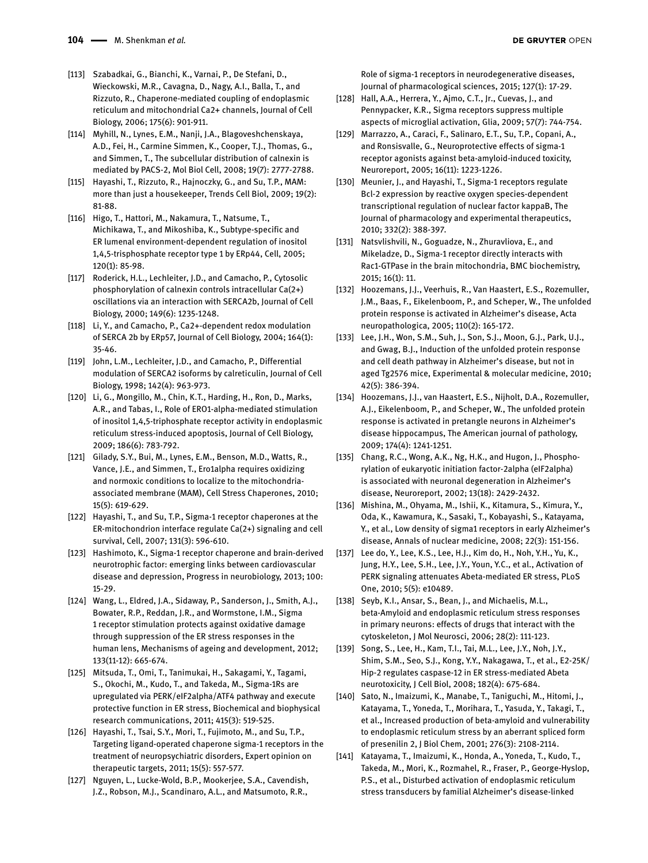- [113] Szabadkai, G., Bianchi, K., Varnai, P., De Stefani, D., Wieckowski, M.R., Cavagna, D., Nagy, A.I., Balla, T., and Rizzuto, R., Chaperone-mediated coupling of endoplasmic reticulum and mitochondrial Ca2+ channels, Journal of Cell Biology, 2006; 175(6): 901-911.
- [114] Myhill, N., Lynes, E.M., Nanji, J.A., Blagoveshchenskaya, A.D., Fei, H., Carmine Simmen, K., Cooper, T.J., Thomas, G., and Simmen, T., The subcellular distribution of calnexin is mediated by PACS-2, Mol Biol Cell, 2008; 19(7): 2777-2788.
- [115] Hayashi, T., Rizzuto, R., Hajnoczky, G., and Su, T.P., MAM: more than just a housekeeper, Trends Cell Biol, 2009; 19(2): 81-88.
- [116] Higo, T., Hattori, M., Nakamura, T., Natsume, T., Michikawa, T., and Mikoshiba, K., Subtype-specific and ER lumenal environment-dependent regulation of inositol 1,4,5-trisphosphate receptor type 1 by ERp44, Cell, 2005; 120(1): 85-98.
- [117] Roderick, H.L., Lechleiter, J.D., and Camacho, P., Cytosolic phosphorylation of calnexin controls intracellular Ca(2+) oscillations via an interaction with SERCA2b, Journal of Cell Biology, 2000; 149(6): 1235-1248.
- [118] Li, Y., and Camacho, P., Ca2+-dependent redox modulation of SERCA 2b by ERp57, Journal of Cell Biology, 2004; 164(1): 35-46.
- [119] John, L.M., Lechleiter, J.D., and Camacho, P., Differential modulation of SERCA2 isoforms by calreticulin, Journal of Cell Biology, 1998; 142(4): 963-973.
- [120] Li, G., Mongillo, M., Chin, K.T., Harding, H., Ron, D., Marks, A.R., and Tabas, I., Role of ERO1-alpha-mediated stimulation of inositol 1,4,5-triphosphate receptor activity in endoplasmic reticulum stress-induced apoptosis, Journal of Cell Biology, 2009; 186(6): 783-792.
- [121] Gilady, S.Y., Bui, M., Lynes, E.M., Benson, M.D., Watts, R., Vance, J.E., and Simmen, T., Ero1alpha requires oxidizing and normoxic conditions to localize to the mitochondriaassociated membrane (MAM), Cell Stress Chaperones, 2010; 15(5): 619-629.
- [122] Hayashi, T., and Su, T.P., Sigma-1 receptor chaperones at the ER-mitochondrion interface regulate Ca(2+) signaling and cell survival, Cell, 2007; 131(3): 596-610.
- [123] Hashimoto, K., Sigma-1 receptor chaperone and brain-derived neurotrophic factor: emerging links between cardiovascular disease and depression, Progress in neurobiology, 2013; 100: 15-29.
- [124] Wang, L., Eldred, J.A., Sidaway, P., Sanderson, J., Smith, A.J., Bowater, R.P., Reddan, J.R., and Wormstone, I.M., Sigma 1 receptor stimulation protects against oxidative damage through suppression of the ER stress responses in the human lens, Mechanisms of ageing and development, 2012; 133(11-12): 665-674.
- [125] Mitsuda, T., Omi, T., Tanimukai, H., Sakagami, Y., Tagami, S., Okochi, M., Kudo, T., and Takeda, M., Sigma-1Rs are upregulated via PERK/eIF2alpha/ATF4 pathway and execute protective function in ER stress, Biochemical and biophysical research communications, 2011; 415(3): 519-525.
- [126] Hayashi, T., Tsai, S.Y., Mori, T., Fujimoto, M., and Su, T.P., Targeting ligand-operated chaperone sigma-1 receptors in the treatment of neuropsychiatric disorders, Expert opinion on therapeutic targets, 2011; 15(5): 557-577.
- [127] Nguyen, L., Lucke-Wold, B.P., Mookerjee, S.A., Cavendish, J.Z., Robson, M.J., Scandinaro, A.L., and Matsumoto, R.R.,

Role of sigma-1 receptors in neurodegenerative diseases, Journal of pharmacological sciences, 2015; 127(1): 17-29.

- [128] Hall, A.A., Herrera, Y., Ajmo, C.T., Jr., Cuevas, J., and Pennypacker, K.R., Sigma receptors suppress multiple aspects of microglial activation, Glia, 2009; 57(7): 744-754.
- [129] Marrazzo, A., Caraci, F., Salinaro, E.T., Su, T.P., Copani, A., and Ronsisvalle, G., Neuroprotective effects of sigma-1 receptor agonists against beta-amyloid-induced toxicity, Neuroreport, 2005; 16(11): 1223-1226.
- [130] Meunier, J., and Hayashi, T., Sigma-1 receptors regulate Bcl-2 expression by reactive oxygen species-dependent transcriptional regulation of nuclear factor kappaB, The Journal of pharmacology and experimental therapeutics, 2010; 332(2): 388-397.
- [131] Natsvlishvili, N., Goguadze, N., Zhuravliova, E., and Mikeladze, D., Sigma-1 receptor directly interacts with Rac1-GTPase in the brain mitochondria, BMC biochemistry, 2015; 16(1): 11.
- [132] Hoozemans, J.J., Veerhuis, R., Van Haastert, E.S., Rozemuller, J.M., Baas, F., Eikelenboom, P., and Scheper, W., The unfolded protein response is activated in Alzheimer's disease, Acta neuropathologica, 2005; 110(2): 165-172.
- [133] Lee, J.H., Won, S.M., Suh, J., Son, S.J., Moon, G.J., Park, U.J., and Gwag, B.J., Induction of the unfolded protein response and cell death pathway in Alzheimer's disease, but not in aged Tg2576 mice, Experimental & molecular medicine, 2010; 42(5): 386-394.
- [134] Hoozemans, J.J., van Haastert, E.S., Nijholt, D.A., Rozemuller, A.J., Eikelenboom, P., and Scheper, W., The unfolded protein response is activated in pretangle neurons in Alzheimer's disease hippocampus, The American journal of pathology, 2009; 174(4): 1241-1251.
- [135] Chang, R.C., Wong, A.K., Ng, H.K., and Hugon, J., Phosphorylation of eukaryotic initiation factor-2alpha (eIF2alpha) is associated with neuronal degeneration in Alzheimer's disease, Neuroreport, 2002; 13(18): 2429-2432.
- [136] Mishina, M., Ohyama, M., Ishii, K., Kitamura, S., Kimura, Y., Oda, K., Kawamura, K., Sasaki, T., Kobayashi, S., Katayama, Y., et al., Low density of sigma1 receptors in early Alzheimer's disease, Annals of nuclear medicine, 2008; 22(3): 151-156.
- [137] Lee do, Y., Lee, K.S., Lee, H.J., Kim do, H., Noh, Y.H., Yu, K., Jung, H.Y., Lee, S.H., Lee, J.Y., Youn, Y.C., et al., Activation of PERK signaling attenuates Abeta-mediated ER stress, PLoS One, 2010; 5(5): e10489.
- [138] Seyb, K.I., Ansar, S., Bean, J., and Michaelis, M.L., beta-Amyloid and endoplasmic reticulum stress responses in primary neurons: effects of drugs that interact with the cytoskeleton, J Mol Neurosci, 2006; 28(2): 111-123.
- [139] Song, S., Lee, H., Kam, T.I., Tai, M.L., Lee, J.Y., Noh, J.Y., Shim, S.M., Seo, S.J., Kong, Y.Y., Nakagawa, T., et al., E2-25K/ Hip-2 regulates caspase-12 in ER stress-mediated Abeta neurotoxicity, J Cell Biol, 2008; 182(4): 675-684.
- [140] Sato, N., Imaizumi, K., Manabe, T., Taniguchi, M., Hitomi, J., Katayama, T., Yoneda, T., Morihara, T., Yasuda, Y., Takagi, T., et al., Increased production of beta-amyloid and vulnerability to endoplasmic reticulum stress by an aberrant spliced form of presenilin 2, J Biol Chem, 2001; 276(3): 2108-2114.
- [141] Katayama, T., Imaizumi, K., Honda, A., Yoneda, T., Kudo, T., Takeda, M., Mori, K., Rozmahel, R., Fraser, P., George-Hyslop, P.S., et al., Disturbed activation of endoplasmic reticulum stress transducers by familial Alzheimer's disease-linked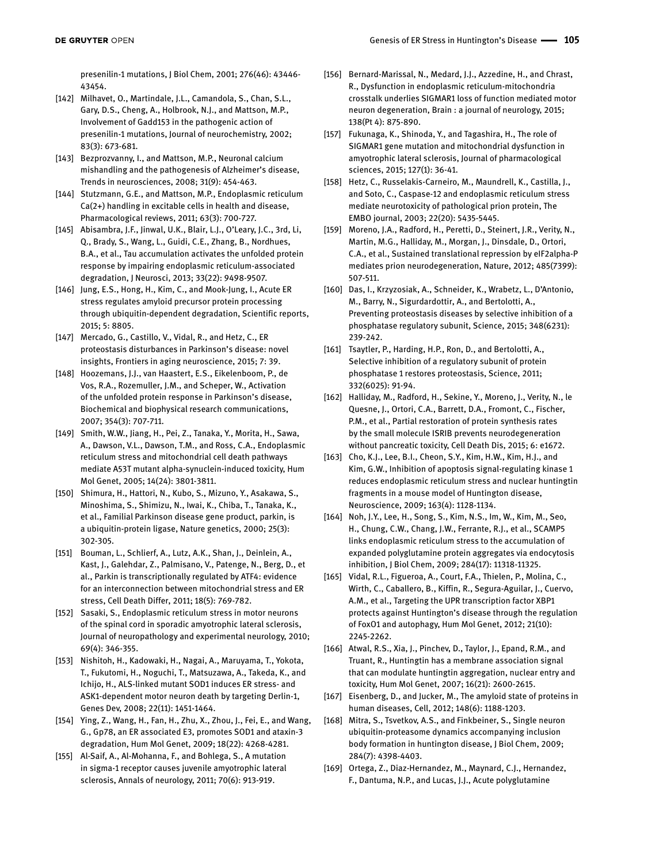presenilin-1 mutations, J Biol Chem, 2001; 276(46): 43446- 43454.

- [142] Milhavet, O., Martindale, J.L., Camandola, S., Chan, S.L., Gary, D.S., Cheng, A., Holbrook, N.J., and Mattson, M.P., Involvement of Gadd153 in the pathogenic action of presenilin-1 mutations, Journal of neurochemistry, 2002; 83(3): 673-681.
- [143] Bezprozvanny, I., and Mattson, M.P., Neuronal calcium mishandling and the pathogenesis of Alzheimer's disease, Trends in neurosciences, 2008; 31(9): 454-463.
- [144] Stutzmann, G.E., and Mattson, M.P., Endoplasmic reticulum Ca(2+) handling in excitable cells in health and disease, Pharmacological reviews, 2011; 63(3): 700-727.
- [145] Abisambra, J.F., Jinwal, U.K., Blair, L.J., O'Leary, J.C., 3rd, Li, Q., Brady, S., Wang, L., Guidi, C.E., Zhang, B., Nordhues, B.A., et al., Tau accumulation activates the unfolded protein response by impairing endoplasmic reticulum-associated degradation, J Neurosci, 2013; 33(22): 9498-9507.
- [146] Jung, E.S., Hong, H., Kim, C., and Mook-Jung, I., Acute ER stress regulates amyloid precursor protein processing through ubiquitin-dependent degradation, Scientific reports, 2015; 5: 8805.
- [147] Mercado, G., Castillo, V., Vidal, R., and Hetz, C., ER proteostasis disturbances in Parkinson's disease: novel insights, Frontiers in aging neuroscience, 2015; 7: 39.
- [148] Hoozemans, J.J., van Haastert, E.S., Eikelenboom, P., de Vos, R.A., Rozemuller, J.M., and Scheper, W., Activation of the unfolded protein response in Parkinson's disease, Biochemical and biophysical research communications, 2007; 354(3): 707-711.
- [149] Smith, W.W., Jiang, H., Pei, Z., Tanaka, Y., Morita, H., Sawa, A., Dawson, V.L., Dawson, T.M., and Ross, C.A., Endoplasmic reticulum stress and mitochondrial cell death pathways mediate A53T mutant alpha-synuclein-induced toxicity, Hum Mol Genet, 2005; 14(24): 3801-3811.
- [150] Shimura, H., Hattori, N., Kubo, S., Mizuno, Y., Asakawa, S., Minoshima, S., Shimizu, N., Iwai, K., Chiba, T., Tanaka, K., et al., Familial Parkinson disease gene product, parkin, is a ubiquitin-protein ligase, Nature genetics, 2000; 25(3): 302-305.
- [151] Bouman, L., Schlierf, A., Lutz, A.K., Shan, J., Deinlein, A., Kast, J., Galehdar, Z., Palmisano, V., Patenge, N., Berg, D., et al., Parkin is transcriptionally regulated by ATF4: evidence for an interconnection between mitochondrial stress and ER stress, Cell Death Differ, 2011; 18(5): 769-782.
- [152] Sasaki, S., Endoplasmic reticulum stress in motor neurons of the spinal cord in sporadic amyotrophic lateral sclerosis, Journal of neuropathology and experimental neurology, 2010; 69(4): 346-355.
- [153] Nishitoh, H., Kadowaki, H., Nagai, A., Maruyama, T., Yokota, T., Fukutomi, H., Noguchi, T., Matsuzawa, A., Takeda, K., and Ichijo, H., ALS-linked mutant SOD1 induces ER stress- and ASK1-dependent motor neuron death by targeting Derlin-1, Genes Dev, 2008; 22(11): 1451-1464.
- [154] Ying, Z., Wang, H., Fan, H., Zhu, X., Zhou, J., Fei, E., and Wang, G., Gp78, an ER associated E3, promotes SOD1 and ataxin-3 degradation, Hum Mol Genet, 2009; 18(22): 4268-4281.
- [155] Al-Saif, A., Al-Mohanna, F., and Bohlega, S., A mutation in sigma-1 receptor causes juvenile amyotrophic lateral sclerosis, Annals of neurology, 2011; 70(6): 913-919.
- [156] Bernard-Marissal, N., Medard, J.J., Azzedine, H., and Chrast, R., Dysfunction in endoplasmic reticulum-mitochondria crosstalk underlies SIGMAR1 loss of function mediated motor neuron degeneration, Brain : a journal of neurology, 2015; 138(Pt 4): 875-890.
- [157] Fukunaga, K., Shinoda, Y., and Tagashira, H., The role of SIGMAR1 gene mutation and mitochondrial dysfunction in amyotrophic lateral sclerosis, Journal of pharmacological sciences, 2015; 127(1): 36-41.
- [158] Hetz, C., Russelakis-Carneiro, M., Maundrell, K., Castilla, J., and Soto, C., Caspase-12 and endoplasmic reticulum stress mediate neurotoxicity of pathological prion protein, The EMBO journal, 2003; 22(20): 5435-5445.
- [159] Moreno, J.A., Radford, H., Peretti, D., Steinert, J.R., Verity, N., Martin, M.G., Halliday, M., Morgan, J., Dinsdale, D., Ortori, C.A., et al., Sustained translational repression by eIF2alpha-P mediates prion neurodegeneration, Nature, 2012; 485(7399): 507-511.
- [160] Das, I., Krzyzosiak, A., Schneider, K., Wrabetz, L., D'Antonio, M., Barry, N., Sigurdardottir, A., and Bertolotti, A., Preventing proteostasis diseases by selective inhibition of a phosphatase regulatory subunit, Science, 2015; 348(6231): 239-242.
- [161] Tsaytler, P., Harding, H.P., Ron, D., and Bertolotti, A., Selective inhibition of a regulatory subunit of protein phosphatase 1 restores proteostasis, Science, 2011; 332(6025): 91-94.
- [162] Halliday, M., Radford, H., Sekine, Y., Moreno, J., Verity, N., le Quesne, J., Ortori, C.A., Barrett, D.A., Fromont, C., Fischer, P.M., et al., Partial restoration of protein synthesis rates by the small molecule ISRIB prevents neurodegeneration without pancreatic toxicity, Cell Death Dis, 2015; 6: e1672.
- [163] Cho, K.J., Lee, B.I., Cheon, S.Y., Kim, H.W., Kim, H.J., and Kim, G.W., Inhibition of apoptosis signal-regulating kinase 1 reduces endoplasmic reticulum stress and nuclear huntingtin fragments in a mouse model of Huntington disease, Neuroscience, 2009; 163(4): 1128-1134.
- [164] Noh, J.Y., Lee, H., Song, S., Kim, N.S., Im, W., Kim, M., Seo, H., Chung, C.W., Chang, J.W., Ferrante, R.J., et al., SCAMP5 links endoplasmic reticulum stress to the accumulation of expanded polyglutamine protein aggregates via endocytosis inhibition, J Biol Chem, 2009; 284(17): 11318-11325.
- [165] Vidal, R.L., Figueroa, A., Court, F.A., Thielen, P., Molina, C., Wirth, C., Caballero, B., Kiffin, R., Segura-Aguilar, J., Cuervo, A.M., et al., Targeting the UPR transcription factor XBP1 protects against Huntington's disease through the regulation of FoxO1 and autophagy, Hum Mol Genet, 2012; 21(10): 2245-2262.
- [166] Atwal, R.S., Xia, J., Pinchev, D., Taylor, J., Epand, R.M., and Truant, R., Huntingtin has a membrane association signal that can modulate huntingtin aggregation, nuclear entry and toxicity, Hum Mol Genet, 2007; 16(21): 2600-2615.
- [167] Eisenberg, D., and Jucker, M., The amyloid state of proteins in human diseases, Cell, 2012; 148(6): 1188-1203.
- [168] Mitra, S., Tsvetkov, A.S., and Finkbeiner, S., Single neuron ubiquitin-proteasome dynamics accompanying inclusion body formation in huntington disease, J Biol Chem, 2009; 284(7): 4398-4403.
- [169] Ortega, Z., Diaz-Hernandez, M., Maynard, C.J., Hernandez, F., Dantuma, N.P., and Lucas, J.J., Acute polyglutamine